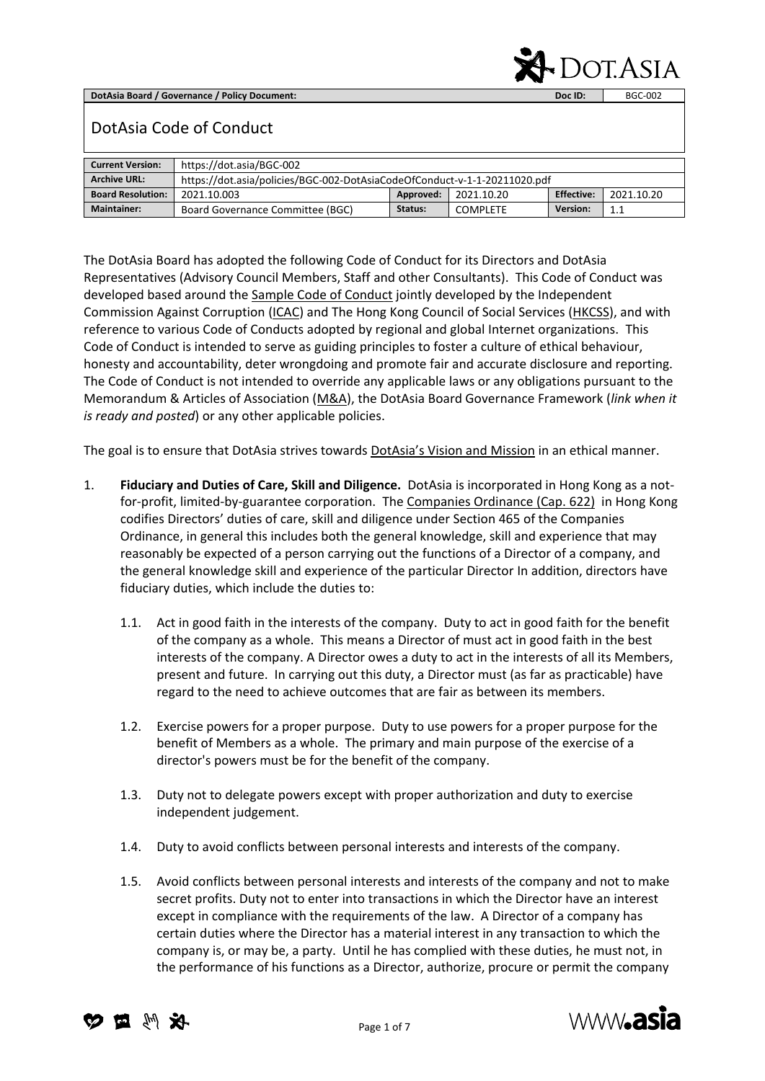**DotAsia Board / Governance / Policy Document: Doc ID:** BGC-002



## DotAsia Code of Conduct

| <b>Current Version:</b>  | https://dot.asia/BGC-002                                                  |         |          |          |     |  |
|--------------------------|---------------------------------------------------------------------------|---------|----------|----------|-----|--|
| <b>Archive URL:</b>      | https://dot.asia/policies/BGC-002-DotAsiaCodeOfConduct-v-1-1-20211020.pdf |         |          |          |     |  |
| <b>Board Resolution:</b> | <b>Effective:</b><br>Approved:<br>2021.10.20<br>2021.10.20<br>2021.10.003 |         |          |          |     |  |
| <b>Maintainer:</b>       | Board Governance Committee (BGC)                                          | Status: | COMPLETE | Version: | 1.1 |  |

The DotAsia Board has adopted the following Code of Conduct for its Directors and DotAsia Representatives (Advisory Council Members, Staff and other Consultants). This Code of Conduct was developed based around the [Sample Code of Conduct](https://governance.hkcss.org.hk/node/74) jointly developed by the Independent Commission Against Corruption [\(ICAC\)](https://www.icac.org.hk/en/home/index.html) and The Hong Kong Council of Social Services [\(HKCSS\)](https://www.hkcss.org.hk/?lang=en), and with reference to various Code of Conducts adopted by regional and global Internet organizations. This Code of Conduct is intended to serve as guiding principles to foster a culture of ethical behaviour, honesty and accountability, deter wrongdoing and promote fair and accurate disclosure and reporting. The Code of Conduct is not intended to override any applicable laws or any obligations pursuant to the Memorandum & Articles of Association [\(M&A\)](https://www.dot.asia/dotasia-memorandum-articles-of-incorporation/), the DotAsia Board Governance Framework (*link when it is ready and posted*) or any other applicable policies.

The goal is to ensure that DotAsia strives towards **[DotAsia's Vision and Mission](https://www.dot.asia/dotasia-organisation/about-dotasia/#visionmission)** in an ethical manner.

- 1. **Fiduciary and Duties of Care, Skill and Diligence.** DotAsia is incorporated in Hong Kong as a notfor-profit, limited-by-guarantee corporation. Th[e Companies Ordinance \(Cap. 622\)](https://www.elegislation.gov.hk/hk/cap622) in Hong Kong codifies Directors' duties of care, skill and diligence under Section 465 of the Companies Ordinance, in general this includes both the general knowledge, skill and experience that may reasonably be expected of a person carrying out the functions of a Director of a company, and the general knowledge skill and experience of the particular Director In addition, directors have fiduciary duties, which include the duties to:
	- 1.1. Act in good faith in the interests of the company. Duty to act in good faith for the benefit of the company as a whole. This means a Director of must act in good faith in the best interests of the company. A Director owes a duty to act in the interests of all its Members, present and future. In carrying out this duty, a Director must (as far as practicable) have regard to the need to achieve outcomes that are fair as between its members.
	- 1.2. Exercise powers for a proper purpose. Duty to use powers for a proper purpose for the benefit of Members as a whole. The primary and main purpose of the exercise of a director's powers must be for the benefit of the company.
	- 1.3. Duty not to delegate powers except with proper authorization and duty to exercise independent judgement.
	- 1.4. Duty to avoid conflicts between personal interests and interests of the company.
	- 1.5. Avoid conflicts between personal interests and interests of the company and not to make secret profits. Duty not to enter into transactions in which the Director have an interest except in compliance with the requirements of the law. A Director of a company has certain duties where the Director has a material interest in any transaction to which the company is, or may be, a party. Until he has complied with these duties, he must not, in the performance of his functions as a Director, authorize, procure or permit the company



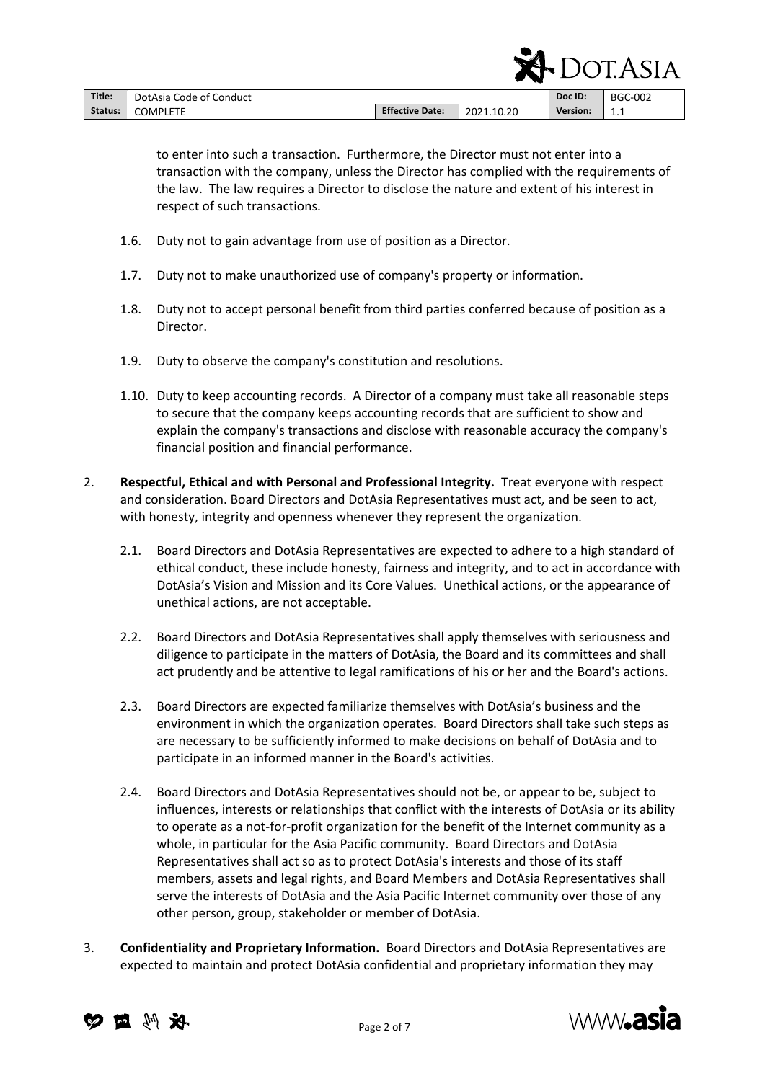|         |                         |                        |            | н        | AICA <sup>-</sup> |
|---------|-------------------------|------------------------|------------|----------|-------------------|
| Title:  | DotAsia Code of Conduct |                        |            | Doc ID:  | BGC-002           |
| Status: | <b>COMPLETE</b>         | <b>Effective Date:</b> | 2021.10.20 | Version: | 1.1               |

to enter into such a transaction. Furthermore, the Director must not enter into a transaction with the company, unless the Director has complied with the requirements of the law. The law requires a Director to disclose the nature and extent of his interest in respect of such transactions.

- 1.6. Duty not to gain advantage from use of position as a Director.
- 1.7. Duty not to make unauthorized use of company's property or information.
- 1.8. Duty not to accept personal benefit from third parties conferred because of position as a Director.
- 1.9. Duty to observe the company's constitution and resolutions.
- 1.10. Duty to keep accounting records. A Director of a company must take all reasonable steps to secure that the company keeps accounting records that are sufficient to show and explain the company's transactions and disclose with reasonable accuracy the company's financial position and financial performance.
- 2. **Respectful, Ethical and with Personal and Professional Integrity.** Treat everyone with respect and consideration. Board Directors and DotAsia Representatives must act, and be seen to act, with honesty, integrity and openness whenever they represent the organization.
	- 2.1. Board Directors and DotAsia Representatives are expected to adhere to a high standard of ethical conduct, these include honesty, fairness and integrity, and to act in accordance with DotAsia's Vision and Mission and its Core Values. Unethical actions, or the appearance of unethical actions, are not acceptable.
	- 2.2. Board Directors and DotAsia Representatives shall apply themselves with seriousness and diligence to participate in the matters of DotAsia, the Board and its committees and shall act prudently and be attentive to legal ramifications of his or her and the Board's actions.
	- 2.3. Board Directors are expected familiarize themselves with DotAsia's business and the environment in which the organization operates. Board Directors shall take such steps as are necessary to be sufficiently informed to make decisions on behalf of DotAsia and to participate in an informed manner in the Board's activities.
	- 2.4. Board Directors and DotAsia Representatives should not be, or appear to be, subject to influences, interests or relationships that conflict with the interests of DotAsia or its ability to operate as a not-for-profit organization for the benefit of the Internet community as a whole, in particular for the Asia Pacific community. Board Directors and DotAsia Representatives shall act so as to protect DotAsia's interests and those of its staff members, assets and legal rights, and Board Members and DotAsia Representatives shall serve the interests of DotAsia and the Asia Pacific Internet community over those of any other person, group, stakeholder or member of DotAsia.
- 3. **Confidentiality and Proprietary Information.** Board Directors and DotAsia Representatives are expected to maintain and protect DotAsia confidential and proprietary information they may





 $\Gamma$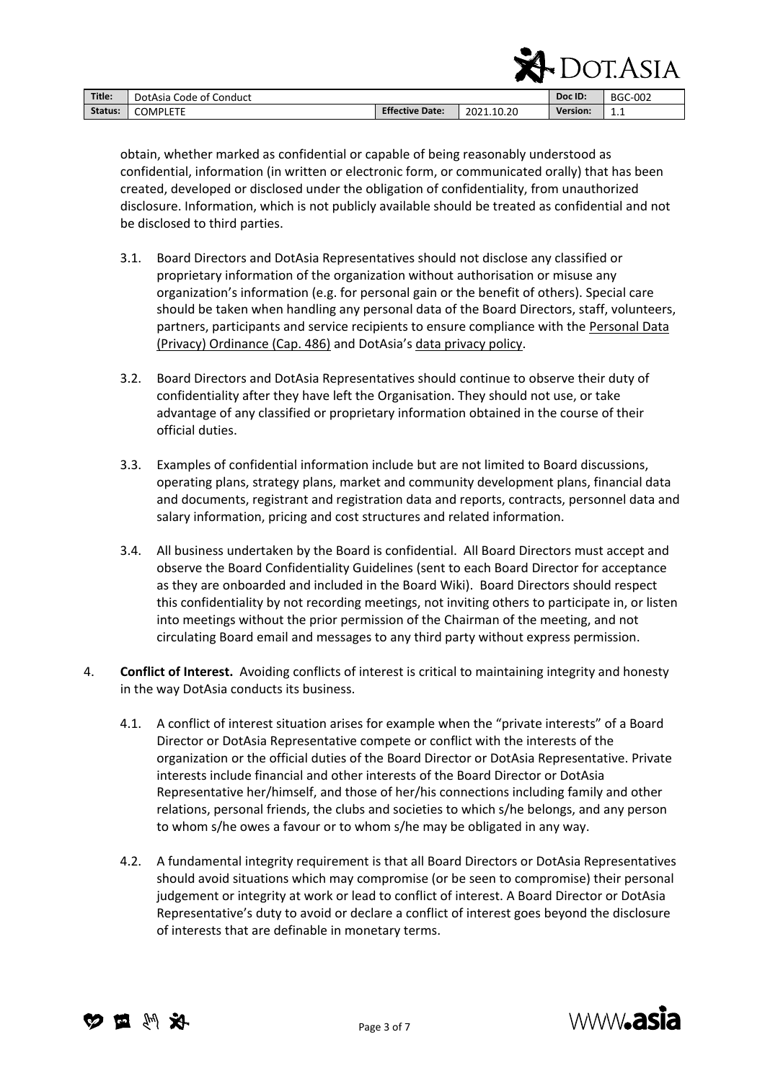|         | - 10                    |                        |            |                 | ' JI.ASIA      |
|---------|-------------------------|------------------------|------------|-----------------|----------------|
| Title:  | DotAsia Code of Conduct |                        |            | Doc ID:         | <b>BGC-002</b> |
| Status: | <b>COMPLETE</b>         | <b>Effective Date:</b> | 2021.10.20 | <b>Version:</b> | 1.1            |

obtain, whether marked as confidential or capable of being reasonably understood as confidential, information (in written or electronic form, or communicated orally) that has been created, developed or disclosed under the obligation of confidentiality, from unauthorized disclosure. Information, which is not publicly available should be treated as confidential and not be disclosed to third parties.

- 3.1. Board Directors and DotAsia Representatives should not disclose any classified or proprietary information of the organization without authorisation or misuse any organization's information (e.g. for personal gain or the benefit of others). Special care should be taken when handling any personal data of the Board Directors, staff, volunteers, partners, participants and service recipients to ensure compliance with the [Personal Data](https://www.elegislation.gov.hk/hk/cap486)  [\(Privacy\) Ordinance \(Cap. 486\)](https://www.elegislation.gov.hk/hk/cap486) and DotAsia's [data privacy policy.](https://www.dot.asia/policies/DotAsia-Privacy-Policy-2013-06-05.pdf)
- 3.2. Board Directors and DotAsia Representatives should continue to observe their duty of confidentiality after they have left the Organisation. They should not use, or take advantage of any classified or proprietary information obtained in the course of their official duties.
- 3.3. Examples of confidential information include but are not limited to Board discussions, operating plans, strategy plans, market and community development plans, financial data and documents, registrant and registration data and reports, contracts, personnel data and salary information, pricing and cost structures and related information.
- 3.4. All business undertaken by the Board is confidential. All Board Directors must accept and observe the Board Confidentiality Guidelines (sent to each Board Director for acceptance as they are onboarded and included in the Board Wiki). Board Directors should respect this confidentiality by not recording meetings, not inviting others to participate in, or listen into meetings without the prior permission of the Chairman of the meeting, and not circulating Board email and messages to any third party without express permission.
- 4. **Conflict of Interest.** Avoiding conflicts of interest is critical to maintaining integrity and honesty in the way DotAsia conducts its business.
	- 4.1. A conflict of interest situation arises for example when the "private interests" of a Board Director or DotAsia Representative compete or conflict with the interests of the organization or the official duties of the Board Director or DotAsia Representative. Private interests include financial and other interests of the Board Director or DotAsia Representative her/himself, and those of her/his connections including family and other relations, personal friends, the clubs and societies to which s/he belongs, and any person to whom s/he owes a favour or to whom s/he may be obligated in any way.
	- 4.2. A fundamental integrity requirement is that all Board Directors or DotAsia Representatives should avoid situations which may compromise (or be seen to compromise) their personal judgement or integrity at work or lead to conflict of interest. A Board Director or DotAsia Representative's duty to avoid or declare a conflict of interest goes beyond the disclosure of interests that are definable in monetary terms.





 $\Gamma$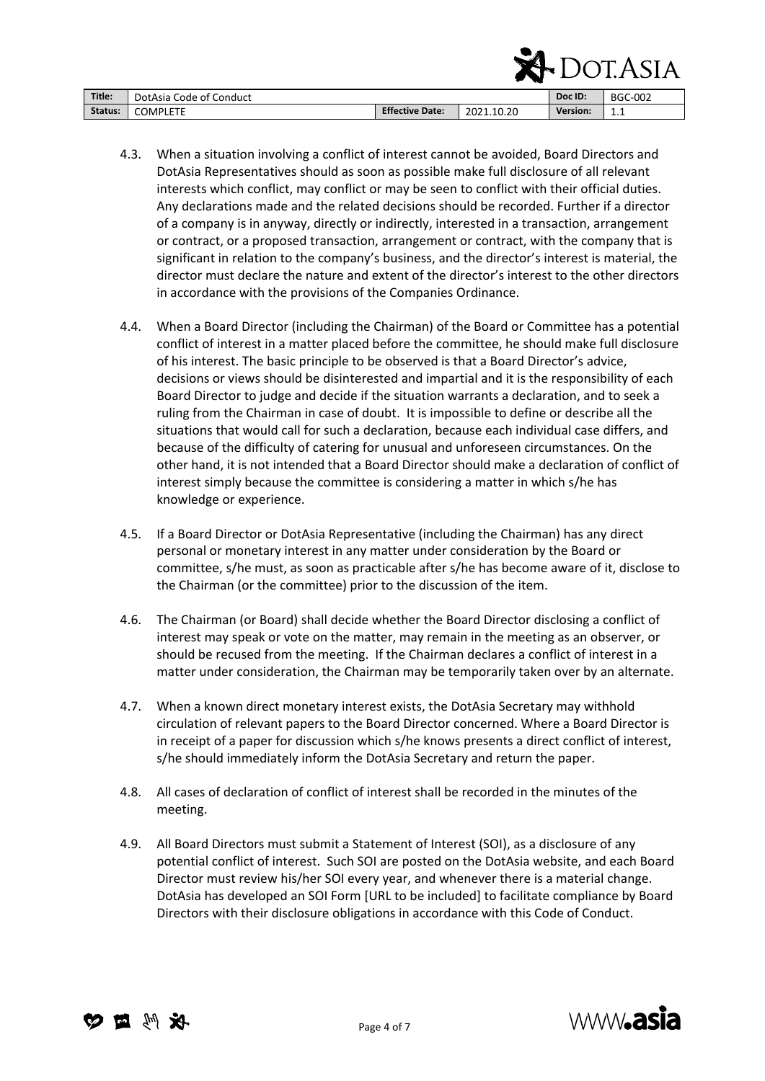|         |                         | ▴◦▴                    |            |                 |     |
|---------|-------------------------|------------------------|------------|-----------------|-----|
| Title:  | DotAsia Code of Conduct |                        | Doc ID:    | <b>BGC-002</b>  |     |
| Status: | <b>COMPLETE</b>         | <b>Effective Date:</b> | 2021.10.20 | <b>Version:</b> | 1.1 |

- 4.3. When a situation involving a conflict of interest cannot be avoided, Board Directors and DotAsia Representatives should as soon as possible make full disclosure of all relevant interests which conflict, may conflict or may be seen to conflict with their official duties. Any declarations made and the related decisions should be recorded. Further if a director of a company is in anyway, directly or indirectly, interested in a transaction, arrangement or contract, or a proposed transaction, arrangement or contract, with the company that is significant in relation to the company's business, and the director's interest is material, the director must declare the nature and extent of the director's interest to the other directors in accordance with the provisions of the Companies Ordinance.
- 4.4. When a Board Director (including the Chairman) of the Board or Committee has a potential conflict of interest in a matter placed before the committee, he should make full disclosure of his interest. The basic principle to be observed is that a Board Director's advice, decisions or views should be disinterested and impartial and it is the responsibility of each Board Director to judge and decide if the situation warrants a declaration, and to seek a ruling from the Chairman in case of doubt. It is impossible to define or describe all the situations that would call for such a declaration, because each individual case differs, and because of the difficulty of catering for unusual and unforeseen circumstances. On the other hand, it is not intended that a Board Director should make a declaration of conflict of interest simply because the committee is considering a matter in which s/he has knowledge or experience.
- 4.5. If a Board Director or DotAsia Representative (including the Chairman) has any direct personal or monetary interest in any matter under consideration by the Board or committee, s/he must, as soon as practicable after s/he has become aware of it, disclose to the Chairman (or the committee) prior to the discussion of the item.
- 4.6. The Chairman (or Board) shall decide whether the Board Director disclosing a conflict of interest may speak or vote on the matter, may remain in the meeting as an observer, or should be recused from the meeting. If the Chairman declares a conflict of interest in a matter under consideration, the Chairman may be temporarily taken over by an alternate.
- 4.7. When a known direct monetary interest exists, the DotAsia Secretary may withhold circulation of relevant papers to the Board Director concerned. Where a Board Director is in receipt of a paper for discussion which s/he knows presents a direct conflict of interest, s/he should immediately inform the DotAsia Secretary and return the paper.
- 4.8. All cases of declaration of conflict of interest shall be recorded in the minutes of the meeting.
- 4.9. All Board Directors must submit a Statement of Interest (SOI), as a disclosure of any potential conflict of interest. Such SOI are posted on the DotAsia website, and each Board Director must review his/her SOI every year, and whenever there is a material change. DotAsia has developed an SOI Form [URL to be included] to facilitate compliance by Board Directors with their disclosure obligations in accordance with this Code of Conduct.





 $\Lambda$  DOTACLA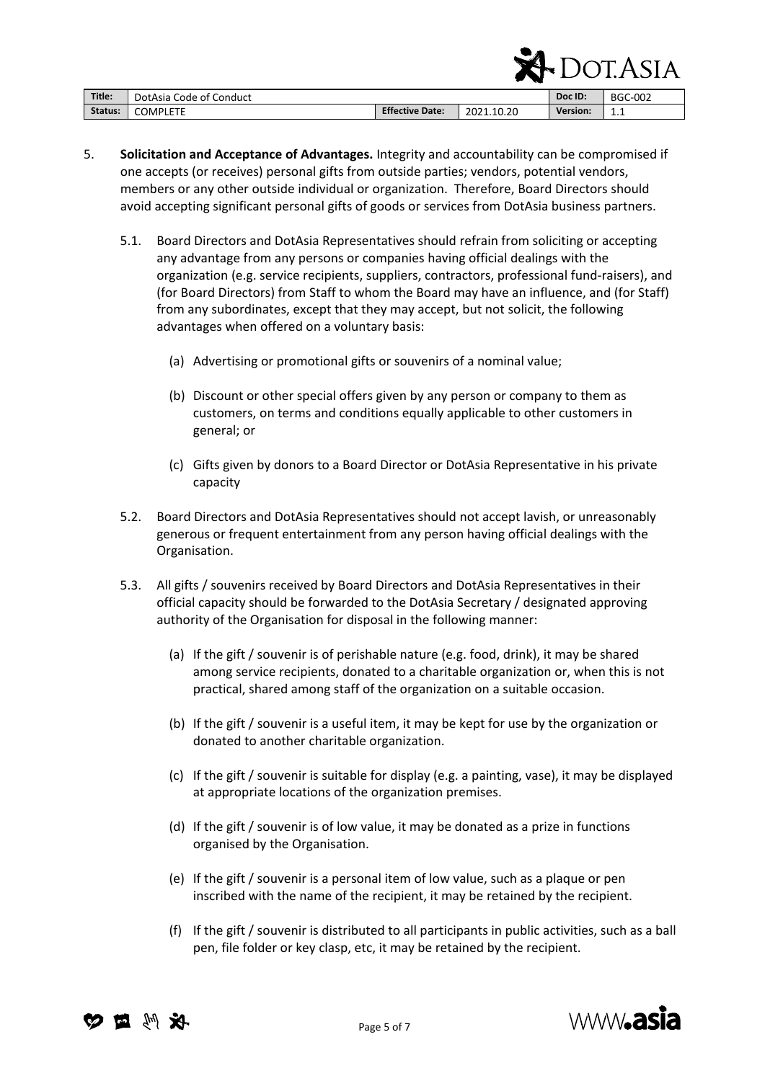|         |                         |                        |            | ,,,<br>- 11 | I.ASIA         |
|---------|-------------------------|------------------------|------------|-------------|----------------|
| Title:  | DotAsia Code of Conduct |                        |            | Doc ID:     | <b>BGC-002</b> |
| Status: | <b>COMPLETE</b>         | <b>Effective Date:</b> | 2021.10.20 | Version:    | 1.1            |

- 5. **Solicitation and Acceptance of Advantages.** Integrity and accountability can be compromised if one accepts (or receives) personal gifts from outside parties; vendors, potential vendors, members or any other outside individual or organization. Therefore, Board Directors should avoid accepting significant personal gifts of goods or services from DotAsia business partners.
	- 5.1. Board Directors and DotAsia Representatives should refrain from soliciting or accepting any advantage from any persons or companies having official dealings with the organization (e.g. service recipients, suppliers, contractors, professional fund-raisers), and (for Board Directors) from Staff to whom the Board may have an influence, and (for Staff) from any subordinates, except that they may accept, but not solicit, the following advantages when offered on a voluntary basis:
		- (a) Advertising or promotional gifts or souvenirs of a nominal value;
		- (b) Discount or other special offers given by any person or company to them as customers, on terms and conditions equally applicable to other customers in general; or
		- (c) Gifts given by donors to a Board Director or DotAsia Representative in his private capacity
	- 5.2. Board Directors and DotAsia Representatives should not accept lavish, or unreasonably generous or frequent entertainment from any person having official dealings with the Organisation.
	- 5.3. All gifts / souvenirs received by Board Directors and DotAsia Representatives in their official capacity should be forwarded to the DotAsia Secretary / designated approving authority of the Organisation for disposal in the following manner:
		- (a) If the gift / souvenir is of perishable nature (e.g. food, drink), it may be shared among service recipients, donated to a charitable organization or, when this is not practical, shared among staff of the organization on a suitable occasion.
		- (b) If the gift / souvenir is a useful item, it may be kept for use by the organization or donated to another charitable organization.
		- (c) If the gift / souvenir is suitable for display (e.g. a painting, vase), it may be displayed at appropriate locations of the organization premises.
		- (d) If the gift / souvenir is of low value, it may be donated as a prize in functions organised by the Organisation.
		- (e) If the gift / souvenir is a personal item of low value, such as a plaque or pen inscribed with the name of the recipient, it may be retained by the recipient.
		- (f) If the gift / souvenir is distributed to all participants in public activities, such as a ball pen, file folder or key clasp, etc, it may be retained by the recipient.





 $\Gamma$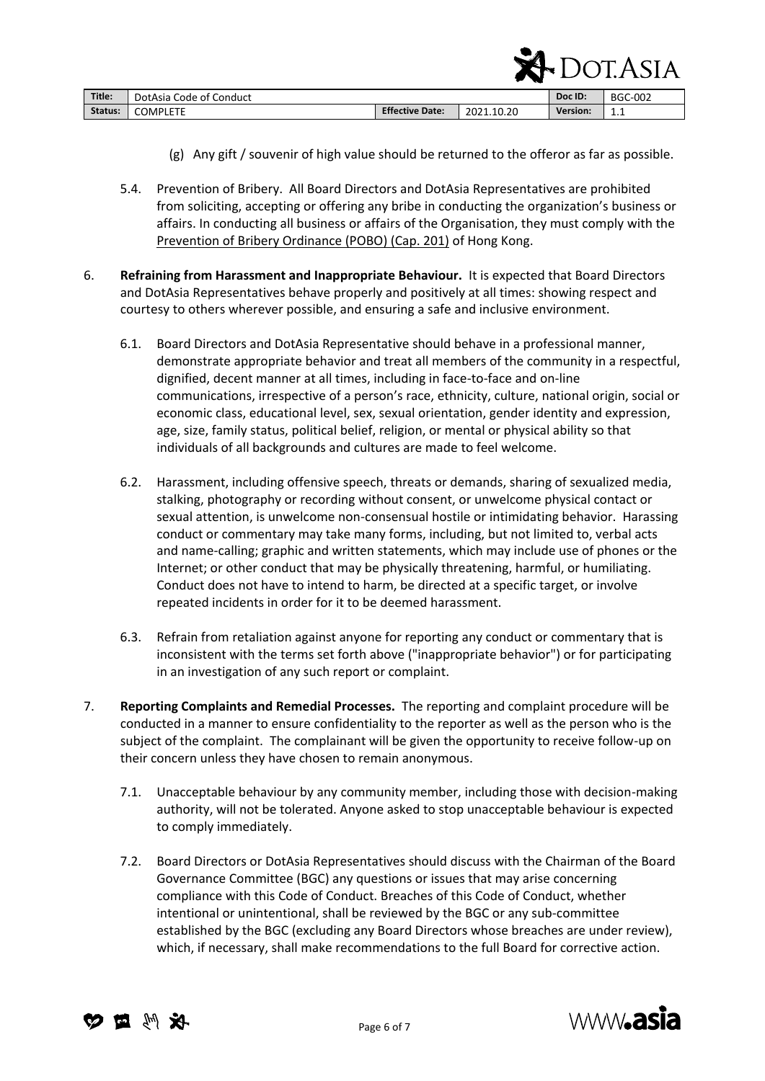|         |                         |                        |            |          | <b>DOT.ASIA</b> |
|---------|-------------------------|------------------------|------------|----------|-----------------|
| Title:  | DotAsia Code of Conduct |                        |            | Doc ID:  | <b>BGC-002</b>  |
| Status: | COMPLETE                | <b>Effective Date:</b> | 2021.10.20 | Version: | 1.1             |

- (g) Any gift / souvenir of high value should be returned to the offeror as far as possible.
- 5.4. Prevention of Bribery. All Board Directors and DotAsia Representatives are prohibited from soliciting, accepting or offering any bribe in conducting the organization's business or affairs. In conducting all business or affairs of the Organisation, they must comply with the [Prevention of Bribery Ordinance \(POBO\) \(Cap. 201\)](https://www.elegislation.gov.hk/hk/cap201) of Hong Kong.
- 6. **Refraining from Harassment and Inappropriate Behaviour.** It is expected that Board Directors and DotAsia Representatives behave properly and positively at all times: showing respect and courtesy to others wherever possible, and ensuring a safe and inclusive environment.
	- 6.1. Board Directors and DotAsia Representative should behave in a professional manner, demonstrate appropriate behavior and treat all members of the community in a respectful, dignified, decent manner at all times, including in face-to-face and on-line communications, irrespective of a person's race, ethnicity, culture, national origin, social or economic class, educational level, sex, sexual orientation, gender identity and expression, age, size, family status, political belief, religion, or mental or physical ability so that individuals of all backgrounds and cultures are made to feel welcome.
	- 6.2. Harassment, including offensive speech, threats or demands, sharing of sexualized media, stalking, photography or recording without consent, or unwelcome physical contact or sexual attention, is unwelcome non-consensual hostile or intimidating behavior. Harassing conduct or commentary may take many forms, including, but not limited to, verbal acts and name-calling; graphic and written statements, which may include use of phones or the Internet; or other conduct that may be physically threatening, harmful, or humiliating. Conduct does not have to intend to harm, be directed at a specific target, or involve repeated incidents in order for it to be deemed harassment.
	- 6.3. Refrain from retaliation against anyone for reporting any conduct or commentary that is inconsistent with the terms set forth above ("inappropriate behavior") or for participating in an investigation of any such report or complaint.
- 7. **Reporting Complaints and Remedial Processes.** The reporting and complaint procedure will be conducted in a manner to ensure confidentiality to the reporter as well as the person who is the subject of the complaint. The complainant will be given the opportunity to receive follow-up on their concern unless they have chosen to remain anonymous.
	- 7.1. Unacceptable behaviour by any community member, including those with decision-making authority, will not be tolerated. Anyone asked to stop unacceptable behaviour is expected to comply immediately.
	- 7.2. Board Directors or DotAsia Representatives should discuss with the Chairman of the Board Governance Committee (BGC) any questions or issues that may arise concerning compliance with this Code of Conduct. Breaches of this Code of Conduct, whether intentional or unintentional, shall be reviewed by the BGC or any sub-committee established by the BGC (excluding any Board Directors whose breaches are under review), which, if necessary, shall make recommendations to the full Board for corrective action.